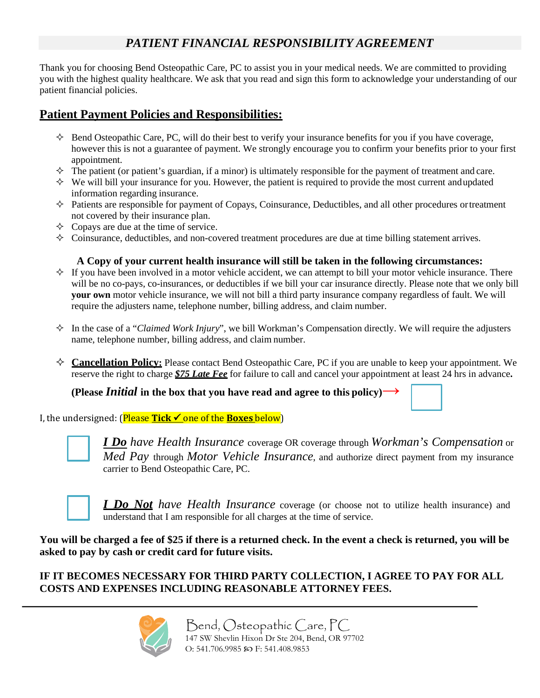# *PATIENT FINANCIAL RESPONSIBILITY AGREEMENT*

Thank you for choosing Bend Osteopathic Care, PC to assist you in your medical needs. We are committed to providing you with the highest quality healthcare. We ask that you read and sign this form to acknowledge your understanding of our patient financial policies.

## **Patient Payment Policies and Responsibilities:**

- $\Diamond$  Bend Osteopathic Care, PC, will do their best to verify your insurance benefits for you if you have coverage, however this is not a guarantee of payment. We strongly encourage you to confirm your benefits prior to your first appointment.
- $\Diamond$  The patient (or patient's guardian, if a minor) is ultimately responsible for the payment of treatment and care.
- $\Diamond$  We will bill your insurance for you. However, the patient is required to provide the most current andupdated information regarding insurance.
- Patients are responsible for payment of Copays, Coinsurance, Deductibles, and all other procedures ortreatment not covered by their insurance plan.
- $\Diamond$  Copays are due at the time of service.
- $\diamondsuit$  Coinsurance, deductibles, and non-covered treatment procedures are due at time billing statement arrives.

#### **A Copy of your current health insurance will still be taken in the following circumstances:**

- $\Diamond$  If you have been involved in a motor vehicle accident, we can attempt to bill your motor vehicle insurance. There will be no co-pays, co-insurances, or deductibles if we bill your car insurance directly. Please note that we only bill **your own** motor vehicle insurance, we will not bill a third party insurance company regardless of fault. We will require the adjusters name, telephone number, billing address, and claim number.
- $\Diamond$  In the case of a "*Claimed Work Injury*", we bill Workman's Compensation directly. We will require the adjusters name, telephone number, billing address, and claim number.
- **Cancellation Policy:** Please contact Bend Osteopathic Care, PC if you are unable to keep your appointment. We reserve the right to charge *\$75 Late Fee* for failure to call and cancel your appointment at least 24 hrs in advance**.**

### **(Please** *Initial* **in the box that you have read and agree to this policy)**→

**I**, the undersigned: (Please Tick <del>✓</del> one of the Boxes below)



*I Do have Health Insurance* coverage OR coverage through *Workman's Compensation* or *Med Pay* through *Motor Vehicle Insurance*, and authorize direct payment from my insurance carrier to Bend Osteopathic Care, PC.



*I Do Not have Health Insurance* coverage (or choose not to utilize health insurance) and understand that I am responsible for all charges at the time of service.

**You will be charged a fee of \$25 if there is a returned check. In the event a check is returned, you will be asked to pay by cash or credit card for future visits.**

### **IF IT BECOMES NECESSARY FOR THIRD PARTY COLLECTION, I AGREE TO PAY FOR ALL COSTS AND EXPENSES INCLUDING REASONABLE ATTORNEY FEES.**